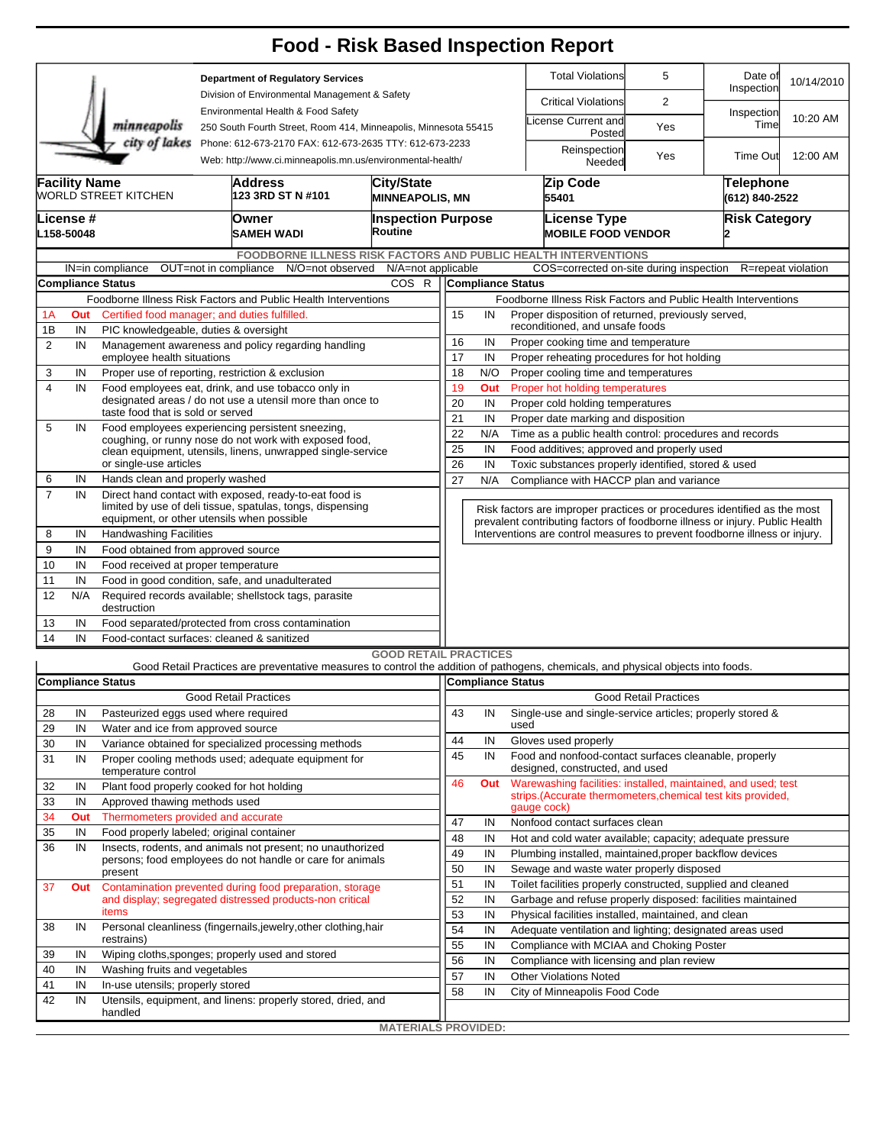|                                          |                                                                                                                                        |                                                                                                                                                                    |                                                                                                                                                        |                                                                                                                      |                              |                                                                                                   |                                                                                                                  |                                                      | <b>Food - Risk Based Inspection Report</b>                                                                                                                 |                                    |                       |                    |  |  |  |  |  |
|------------------------------------------|----------------------------------------------------------------------------------------------------------------------------------------|--------------------------------------------------------------------------------------------------------------------------------------------------------------------|--------------------------------------------------------------------------------------------------------------------------------------------------------|----------------------------------------------------------------------------------------------------------------------|------------------------------|---------------------------------------------------------------------------------------------------|------------------------------------------------------------------------------------------------------------------|------------------------------------------------------|------------------------------------------------------------------------------------------------------------------------------------------------------------|------------------------------------|-----------------------|--------------------|--|--|--|--|--|
| <b>Department of Regulatory Services</b> |                                                                                                                                        |                                                                                                                                                                    |                                                                                                                                                        |                                                                                                                      |                              |                                                                                                   |                                                                                                                  |                                                      | <b>Total Violations</b>                                                                                                                                    | 5                                  | Date of<br>Inspection | 10/14/2010         |  |  |  |  |  |
|                                          |                                                                                                                                        |                                                                                                                                                                    | Division of Environmental Management & Safety<br>Environmental Health & Food Safety<br>250 South Fourth Street, Room 414, Minneapolis, Minnesota 55415 |                                                                                                                      |                              |                                                                                                   |                                                                                                                  |                                                      | <b>Critical Violations</b>                                                                                                                                 | 2                                  |                       |                    |  |  |  |  |  |
|                                          |                                                                                                                                        | minneapolis                                                                                                                                                        |                                                                                                                                                        |                                                                                                                      |                              |                                                                                                   |                                                                                                                  |                                                      | icense Current and<br>Posted                                                                                                                               | Yes                                | Inspection<br>Time    | 10:20 AM           |  |  |  |  |  |
|                                          | city of lakes<br>Phone: 612-673-2170 FAX: 612-673-2635 TTY: 612-673-2233<br>Web: http://www.ci.minneapolis.mn.us/environmental-health/ |                                                                                                                                                                    |                                                                                                                                                        |                                                                                                                      |                              |                                                                                                   |                                                                                                                  |                                                      | Reinspection<br>Needed                                                                                                                                     | Yes                                | Time Out              | 12:00 AM           |  |  |  |  |  |
|                                          | <b>Facility Name</b><br><b>City/State</b><br><b>Address</b><br>WORLD STREET KITCHEN<br>123 3RD ST N #101<br><b>MINNEAPOLIS, MN</b>     |                                                                                                                                                                    |                                                                                                                                                        |                                                                                                                      |                              |                                                                                                   |                                                                                                                  |                                                      | Zip Code<br>55401                                                                                                                                          | <b>Telephone</b><br>(612) 840-2522 |                       |                    |  |  |  |  |  |
|                                          | .icense #<br>L158-50048                                                                                                                |                                                                                                                                                                    | Owner<br>SAMEH WADI                                                                                                                                    |                                                                                                                      | Routine                      | <b>Inspection Purpose</b>                                                                         |                                                                                                                  |                                                      | <b>License Type</b><br><b>MOBILE FOOD VENDOR</b>                                                                                                           |                                    | <b>Risk Category</b>  |                    |  |  |  |  |  |
|                                          |                                                                                                                                        |                                                                                                                                                                    |                                                                                                                                                        |                                                                                                                      |                              |                                                                                                   |                                                                                                                  |                                                      | <b>FOODBORNE ILLNESS RISK FACTORS AND PUBLIC HEALTH INTERVENTIONS</b>                                                                                      |                                    |                       |                    |  |  |  |  |  |
|                                          |                                                                                                                                        | IN=in compliance                                                                                                                                                   | OUT=not in compliance                                                                                                                                  | N/O=not observed                                                                                                     | N/A=not applicable           |                                                                                                   |                                                                                                                  |                                                      | COS=corrected on-site during inspection                                                                                                                    |                                    |                       | R=repeat violation |  |  |  |  |  |
|                                          |                                                                                                                                        | <b>Compliance Status</b>                                                                                                                                           |                                                                                                                                                        |                                                                                                                      | COS R                        |                                                                                                   | <b>Compliance Status</b>                                                                                         |                                                      |                                                                                                                                                            |                                    |                       |                    |  |  |  |  |  |
|                                          | Foodborne Illness Risk Factors and Public Health Interventions<br>Certified food manager; and duties fulfilled.                        |                                                                                                                                                                    |                                                                                                                                                        |                                                                                                                      |                              |                                                                                                   |                                                                                                                  |                                                      | Foodborne Illness Risk Factors and Public Health Interventions                                                                                             |                                    |                       |                    |  |  |  |  |  |
| 1A                                       | Out                                                                                                                                    |                                                                                                                                                                    |                                                                                                                                                        |                                                                                                                      |                              | 15<br>Proper disposition of returned, previously served,<br>IN<br>reconditioned, and unsafe foods |                                                                                                                  |                                                      |                                                                                                                                                            |                                    |                       |                    |  |  |  |  |  |
| 1B<br>$\overline{2}$                     | IN                                                                                                                                     | PIC knowledgeable, duties & oversight<br>Management awareness and policy regarding handling                                                                        |                                                                                                                                                        |                                                                                                                      |                              | 16<br>IN<br>Proper cooking time and temperature                                                   |                                                                                                                  |                                                      |                                                                                                                                                            |                                    |                       |                    |  |  |  |  |  |
|                                          | IN                                                                                                                                     | employee health situations                                                                                                                                         |                                                                                                                                                        |                                                                                                                      |                              | 17<br>IN<br>Proper reheating procedures for hot holding                                           |                                                                                                                  |                                                      |                                                                                                                                                            |                                    |                       |                    |  |  |  |  |  |
| 3                                        | IN                                                                                                                                     | Proper use of reporting, restriction & exclusion                                                                                                                   |                                                                                                                                                        |                                                                                                                      |                              | 18<br>N/O<br>Proper cooling time and temperatures                                                 |                                                                                                                  |                                                      |                                                                                                                                                            |                                    |                       |                    |  |  |  |  |  |
| $\overline{\mathbf{4}}$                  | IN                                                                                                                                     | Food employees eat, drink, and use tobacco only in                                                                                                                 |                                                                                                                                                        |                                                                                                                      |                              | 19<br>Proper hot holding temperatures<br>Out                                                      |                                                                                                                  |                                                      |                                                                                                                                                            |                                    |                       |                    |  |  |  |  |  |
|                                          |                                                                                                                                        | designated areas / do not use a utensil more than once to                                                                                                          |                                                                                                                                                        |                                                                                                                      |                              |                                                                                                   |                                                                                                                  | 20<br>IN<br>Proper cold holding temperatures         |                                                                                                                                                            |                                    |                       |                    |  |  |  |  |  |
|                                          |                                                                                                                                        | taste food that is sold or served                                                                                                                                  | 21<br>IN<br>Proper date marking and disposition                                                                                                        |                                                                                                                      |                              |                                                                                                   |                                                                                                                  |                                                      |                                                                                                                                                            |                                    |                       |                    |  |  |  |  |  |
| 5                                        | IN                                                                                                                                     | Food employees experiencing persistent sneezing,<br>coughing, or runny nose do not work with exposed food,                                                         | 22<br>Time as a public health control: procedures and records<br>N/A                                                                                   |                                                                                                                      |                              |                                                                                                   |                                                                                                                  |                                                      |                                                                                                                                                            |                                    |                       |                    |  |  |  |  |  |
|                                          |                                                                                                                                        | clean equipment, utensils, linens, unwrapped single-service                                                                                                        | 25<br>IN<br>Food additives; approved and properly used                                                                                                 |                                                                                                                      |                              |                                                                                                   |                                                                                                                  |                                                      |                                                                                                                                                            |                                    |                       |                    |  |  |  |  |  |
|                                          |                                                                                                                                        | or single-use articles                                                                                                                                             | 26                                                                                                                                                     | IN<br>Toxic substances properly identified, stored & used                                                            |                              |                                                                                                   |                                                                                                                  |                                                      |                                                                                                                                                            |                                    |                       |                    |  |  |  |  |  |
| 6                                        | IN                                                                                                                                     | Hands clean and properly washed                                                                                                                                    |                                                                                                                                                        |                                                                                                                      |                              | 27                                                                                                | N/A<br>Compliance with HACCP plan and variance                                                                   |                                                      |                                                                                                                                                            |                                    |                       |                    |  |  |  |  |  |
| $\overline{7}$                           | IN                                                                                                                                     | Direct hand contact with exposed, ready-to-eat food is<br>limited by use of deli tissue, spatulas, tongs, dispensing<br>equipment, or other utensils when possible |                                                                                                                                                        |                                                                                                                      |                              | Risk factors are improper practices or procedures identified as the most                          |                                                                                                                  |                                                      |                                                                                                                                                            |                                    |                       |                    |  |  |  |  |  |
| 8                                        | IN                                                                                                                                     | <b>Handwashing Facilities</b>                                                                                                                                      |                                                                                                                                                        |                                                                                                                      |                              |                                                                                                   |                                                                                                                  |                                                      | prevalent contributing factors of foodborne illness or injury. Public Health<br>Interventions are control measures to prevent foodborne illness or injury. |                                    |                       |                    |  |  |  |  |  |
| 9                                        | IN                                                                                                                                     | Food obtained from approved source                                                                                                                                 |                                                                                                                                                        |                                                                                                                      |                              |                                                                                                   |                                                                                                                  |                                                      |                                                                                                                                                            |                                    |                       |                    |  |  |  |  |  |
| 10                                       | IN                                                                                                                                     | Food received at proper temperature                                                                                                                                |                                                                                                                                                        |                                                                                                                      |                              |                                                                                                   |                                                                                                                  |                                                      |                                                                                                                                                            |                                    |                       |                    |  |  |  |  |  |
| 11                                       | IN                                                                                                                                     | Food in good condition, safe, and unadulterated                                                                                                                    |                                                                                                                                                        |                                                                                                                      |                              |                                                                                                   |                                                                                                                  |                                                      |                                                                                                                                                            |                                    |                       |                    |  |  |  |  |  |
| 12                                       | N/A                                                                                                                                    | Required records available; shellstock tags, parasite<br>destruction                                                                                               |                                                                                                                                                        |                                                                                                                      |                              |                                                                                                   |                                                                                                                  |                                                      |                                                                                                                                                            |                                    |                       |                    |  |  |  |  |  |
| 13                                       | IN                                                                                                                                     | Food separated/protected from cross contamination                                                                                                                  |                                                                                                                                                        |                                                                                                                      |                              |                                                                                                   |                                                                                                                  |                                                      |                                                                                                                                                            |                                    |                       |                    |  |  |  |  |  |
| 14                                       | IN                                                                                                                                     | Food-contact surfaces: cleaned & sanitized                                                                                                                         |                                                                                                                                                        |                                                                                                                      |                              |                                                                                                   |                                                                                                                  |                                                      |                                                                                                                                                            |                                    |                       |                    |  |  |  |  |  |
|                                          |                                                                                                                                        |                                                                                                                                                                    |                                                                                                                                                        |                                                                                                                      | <b>GOOD RETAIL PRACTICES</b> |                                                                                                   |                                                                                                                  |                                                      |                                                                                                                                                            |                                    |                       |                    |  |  |  |  |  |
|                                          |                                                                                                                                        |                                                                                                                                                                    |                                                                                                                                                        |                                                                                                                      |                              |                                                                                                   |                                                                                                                  |                                                      | Good Retail Practices are preventative measures to control the addition of pathogens, chemicals, and physical objects into foods.                          |                                    |                       |                    |  |  |  |  |  |
|                                          |                                                                                                                                        | <b>Compliance Status</b>                                                                                                                                           |                                                                                                                                                        |                                                                                                                      |                              |                                                                                                   |                                                                                                                  |                                                      | Compliance Status                                                                                                                                          |                                    |                       |                    |  |  |  |  |  |
|                                          |                                                                                                                                        |                                                                                                                                                                    | <b>Good Retail Practices</b>                                                                                                                           |                                                                                                                      |                              |                                                                                                   |                                                                                                                  |                                                      |                                                                                                                                                            | <b>Good Retail Practices</b>       |                       |                    |  |  |  |  |  |
| 28                                       | IN                                                                                                                                     | Pasteurized eggs used where required                                                                                                                               |                                                                                                                                                        |                                                                                                                      |                              | 43                                                                                                | IN                                                                                                               | used                                                 | Single-use and single-service articles; properly stored &                                                                                                  |                                    |                       |                    |  |  |  |  |  |
| 29<br>30                                 | IN<br>IN                                                                                                                               | Water and ice from approved source<br>Variance obtained for specialized processing methods                                                                         |                                                                                                                                                        |                                                                                                                      |                              | 44                                                                                                | IN                                                                                                               |                                                      | Gloves used properly                                                                                                                                       |                                    |                       |                    |  |  |  |  |  |
| 31                                       | IN                                                                                                                                     | Proper cooling methods used; adequate equipment for<br>temperature control                                                                                         | 45                                                                                                                                                     | IN                                                                                                                   |                              | Food and nonfood-contact surfaces cleanable, properly<br>designed, constructed, and used          |                                                                                                                  |                                                      |                                                                                                                                                            |                                    |                       |                    |  |  |  |  |  |
| 32                                       | IN                                                                                                                                     | Plant food properly cooked for hot holding                                                                                                                         |                                                                                                                                                        |                                                                                                                      |                              | 46                                                                                                | Out                                                                                                              |                                                      | Warewashing facilities: installed, maintained, and used; test                                                                                              |                                    |                       |                    |  |  |  |  |  |
| 33                                       | IN                                                                                                                                     | Approved thawing methods used                                                                                                                                      |                                                                                                                                                        |                                                                                                                      |                              |                                                                                                   |                                                                                                                  |                                                      | strips.(Accurate thermometers, chemical test kits provided,                                                                                                |                                    |                       |                    |  |  |  |  |  |
| 34                                       | Out                                                                                                                                    | Thermometers provided and accurate                                                                                                                                 |                                                                                                                                                        |                                                                                                                      |                              |                                                                                                   |                                                                                                                  |                                                      | gauge cock)                                                                                                                                                |                                    |                       |                    |  |  |  |  |  |
| 35                                       | IN                                                                                                                                     | Food properly labeled; original container                                                                                                                          |                                                                                                                                                        |                                                                                                                      |                              | 47                                                                                                | IN                                                                                                               |                                                      | Nonfood contact surfaces clean                                                                                                                             |                                    |                       |                    |  |  |  |  |  |
| 36                                       | IN                                                                                                                                     | Insects, rodents, and animals not present; no unauthorized                                                                                                         |                                                                                                                                                        |                                                                                                                      |                              | 48                                                                                                | IN                                                                                                               |                                                      | Hot and cold water available; capacity; adequate pressure                                                                                                  |                                    |                       |                    |  |  |  |  |  |
|                                          |                                                                                                                                        | persons; food employees do not handle or care for animals                                                                                                          |                                                                                                                                                        |                                                                                                                      |                              | 49<br>50                                                                                          | IN<br>IN                                                                                                         |                                                      | Plumbing installed, maintained, proper backflow devices<br>Sewage and waste water properly disposed                                                        |                                    |                       |                    |  |  |  |  |  |
|                                          |                                                                                                                                        | present                                                                                                                                                            |                                                                                                                                                        |                                                                                                                      |                              | 51                                                                                                | IN                                                                                                               |                                                      | Toilet facilities properly constructed, supplied and cleaned                                                                                               |                                    |                       |                    |  |  |  |  |  |
| 37                                       | Out                                                                                                                                    |                                                                                                                                                                    |                                                                                                                                                        | Contamination prevented during food preparation, storage<br>and display; segregated distressed products-non critical |                              | 52                                                                                                | IN                                                                                                               |                                                      | Garbage and refuse properly disposed: facilities maintained                                                                                                |                                    |                       |                    |  |  |  |  |  |
|                                          |                                                                                                                                        | items                                                                                                                                                              |                                                                                                                                                        |                                                                                                                      | 53                           | IN                                                                                                |                                                                                                                  | Physical facilities installed, maintained, and clean |                                                                                                                                                            |                                    |                       |                    |  |  |  |  |  |
| 38                                       | IN                                                                                                                                     |                                                                                                                                                                    |                                                                                                                                                        | Personal cleanliness (fingernails, jewelry, other clothing, hair                                                     |                              | 54                                                                                                | IN                                                                                                               |                                                      |                                                                                                                                                            |                                    |                       |                    |  |  |  |  |  |
|                                          |                                                                                                                                        | restrains)                                                                                                                                                         |                                                                                                                                                        |                                                                                                                      |                              |                                                                                                   | Adequate ventilation and lighting; designated areas used<br>55<br>IN<br>Compliance with MCIAA and Choking Poster |                                                      |                                                                                                                                                            |                                    |                       |                    |  |  |  |  |  |
| 39                                       | IN                                                                                                                                     |                                                                                                                                                                    | Wiping cloths, sponges; properly used and stored                                                                                                       |                                                                                                                      |                              |                                                                                                   |                                                                                                                  |                                                      | Compliance with licensing and plan review                                                                                                                  |                                    |                       |                    |  |  |  |  |  |
| 40                                       | IN                                                                                                                                     |                                                                                                                                                                    | Washing fruits and vegetables                                                                                                                          |                                                                                                                      |                              |                                                                                                   |                                                                                                                  |                                                      | <b>Other Violations Noted</b>                                                                                                                              |                                    |                       |                    |  |  |  |  |  |
| 41                                       | IN                                                                                                                                     | In-use utensils; properly stored                                                                                                                                   | 57<br>58                                                                                                                                               | IN                                                                                                                   |                              | City of Minneapolis Food Code                                                                     |                                                                                                                  |                                                      |                                                                                                                                                            |                                    |                       |                    |  |  |  |  |  |
| 42                                       | IN                                                                                                                                     | Utensils, equipment, and linens: properly stored, dried, and<br>handled                                                                                            |                                                                                                                                                        |                                                                                                                      |                              |                                                                                                   |                                                                                                                  |                                                      |                                                                                                                                                            |                                    |                       |                    |  |  |  |  |  |
|                                          |                                                                                                                                        |                                                                                                                                                                    |                                                                                                                                                        |                                                                                                                      | <b>MATERIALS PROVIDED:</b>   |                                                                                                   |                                                                                                                  |                                                      |                                                                                                                                                            |                                    |                       |                    |  |  |  |  |  |